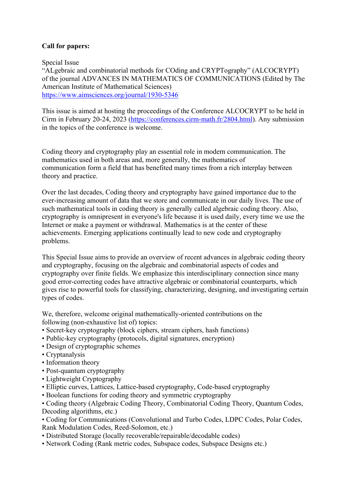## **Call for papers:**

Special Issue "ALgebraic and combinatorial methods for COding and CRYPTography" (ALCOCRYPT) of the journal ADVANCES IN MATHEMATICS OF COMMUNICATIONS (Edited by The American Institute of Mathematical Sciences) https://www.aimsciences.org/journal/1930-5346

This issue is aimed at hosting the proceedings of the Conference ALCOCRYPT to be held in Cirm in February 20-24, 2023 (https://conferences.cirm-math.fr/2804.html). Any submission in the topics of the conference is welcome.

Coding theory and cryptography play an essential role in modern communication. The mathematics used in both areas and, more generally, the mathematics of communication form a field that has benefited many times from a rich interplay between theory and practice.

Over the last decades, Coding theory and cryptography have gained importance due to the ever-increasing amount of data that we store and communicate in our daily lives. The use of such mathematical tools in coding theory is generally called algebraic coding theory. Also, cryptography is omnipresent in everyone's life because it is used daily, every time we use the Internet or make a payment or withdrawal. Mathematics is at the center of these achievements. Emerging applications continually lead to new code and cryptography problems.

This Special Issue aims to provide an overview of recent advances in algebraic coding theory and cryptography, focusing on the algebraic and combinatorial aspects of codes and cryptography over finite fields. We emphasize this interdisciplinary connection since many good error-correcting codes have attractive algebraic or combinatorial counterparts, which gives rise to powerful tools for classifying, characterizing, designing, and investigating certain types of codes.

We, therefore, welcome original mathematically-oriented contributions on the following (non-exhaustive list of) topics:

- Secret-key cryptography (block ciphers, stream ciphers, hash functions)
- Public-key cryptography (protocols, digital signatures, encryption)
- Design of cryptographic schemes
- Cryptanalysis
- Information theory
- Post-quantum cryptography
- Lightweight Cryptography
- Elliptic curves, Lattices, Lattice-based cryptography, Code-based cryptography
- Boolean functions for coding theory and symmetric cryptography

• Coding theory (Algebraic Coding Theory, Combinatorial Coding Theory, Quantum Codes, Decoding algorithms, etc.)

• Coding for Communications (Convolutional and Turbo Codes, LDPC Codes, Polar Codes, Rank Modulation Codes, Reed-Solomon, etc.)

- Distributed Storage (locally recoverable/repairable/decodable codes)
- Network Coding (Rank metric codes, Subspace codes, Subspace Designs etc.)